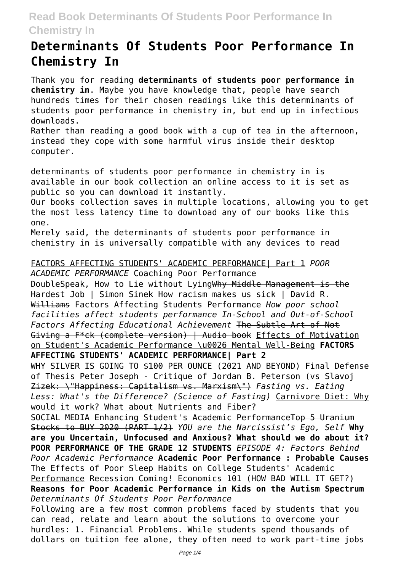# **Determinants Of Students Poor Performance In Chemistry In**

Thank you for reading **determinants of students poor performance in chemistry in**. Maybe you have knowledge that, people have search hundreds times for their chosen readings like this determinants of students poor performance in chemistry in, but end up in infectious downloads.

Rather than reading a good book with a cup of tea in the afternoon, instead they cope with some harmful virus inside their desktop computer.

determinants of students poor performance in chemistry in is available in our book collection an online access to it is set as public so you can download it instantly.

Our books collection saves in multiple locations, allowing you to get the most less latency time to download any of our books like this one.

Merely said, the determinants of students poor performance in chemistry in is universally compatible with any devices to read

#### FACTORS AFFECTING STUDENTS' ACADEMIC PERFORMANCE| Part 1 *POOR ACADEMIC PERFORMANCE* Coaching Poor Performance

DoubleSpeak, How to Lie without LyingWhy Middle Management is the Hardest Job | Simon Sinek How racism makes us sick | David R. Williams Factors Affecting Students Performance *How poor school facilities affect students performance In-School and Out-of-School Factors Affecting Educational Achievement* The Subtle Art of Not Giving a F\*ck (complete version) | Audio book Effects of Motivation on Student's Academic Performance \u0026 Mental Well-Being **FACTORS AFFECTING STUDENTS' ACADEMIC PERFORMANCE| Part 2**

WHY SILVER IS GOING TO \$100 PER OUNCE (2021 AND BEYOND) Final Defense of Thesis Peter Joseph - Critique of Jordan B. Peterson (vs Slavoj Zizek: \"Happiness: Capitalism vs. Marxism\") *Fasting vs. Eating Less: What's the Difference? (Science of Fasting)* Carnivore Diet: Why would it work? What about Nutrients and Fiber?

SOCIAL MEDIA Enhancing Student's Academic PerformanceTop 5 Uranium Stocks to BUY 2020 (PART 1/2) *YOU are the Narcissist's Ego, Self* **Why are you Uncertain, Unfocused and Anxious? What should we do about it? POOR PERFORMANCE OF THE GRADE 12 STUDENTS** *EPISODE 4: Factors Behind Poor Academic Performance* **Academic Poor Performance : Probable Causes** The Effects of Poor Sleep Habits on College Students' Academic Performance Recession Coming! Economics 101 (HOW BAD WILL IT GET?) **Reasons for Poor Academic Performance in Kids on the Autism Spectrum** *Determinants Of Students Poor Performance* Following are a few most common problems faced by students that you can read, relate and learn about the solutions to overcome your

hurdles: 1. Financial Problems. While students spend thousands of dollars on tuition fee alone, they often need to work part-time jobs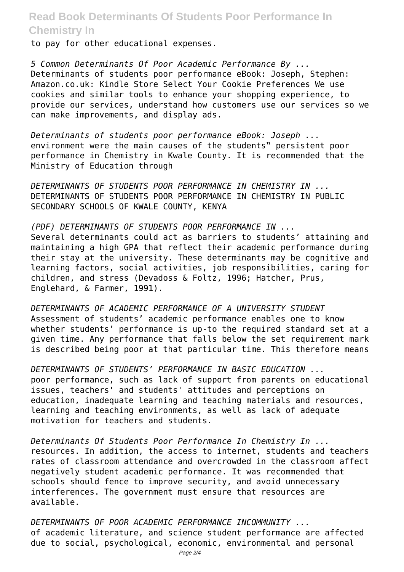to pay for other educational expenses.

*5 Common Determinants Of Poor Academic Performance By ...* Determinants of students poor performance eBook: Joseph, Stephen: Amazon.co.uk: Kindle Store Select Your Cookie Preferences We use cookies and similar tools to enhance your shopping experience, to provide our services, understand how customers use our services so we can make improvements, and display ads.

*Determinants of students poor performance eBook: Joseph ...* environment were the main causes of the students" persistent poor performance in Chemistry in Kwale County. It is recommended that the Ministry of Education through

*DETERMINANTS OF STUDENTS POOR PERFORMANCE IN CHEMISTRY IN ...* DETERMINANTS OF STUDENTS POOR PERFORMANCE IN CHEMISTRY IN PUBLIC SECONDARY SCHOOLS OF KWALE COUNTY, KENYA

*(PDF) DETERMINANTS OF STUDENTS POOR PERFORMANCE IN ...* Several determinants could act as barriers to students' attaining and maintaining a high GPA that reflect their academic performance during their stay at the university. These determinants may be cognitive and learning factors, social activities, job responsibilities, caring for children, and stress (Devadoss & Foltz, 1996; Hatcher, Prus, Englehard, & Farmer, 1991).

*DETERMINANTS OF ACADEMIC PERFORMANCE OF A UNIVERSITY STUDENT* Assessment of students' academic performance enables one to know whether students' performance is up-to the required standard set at a given time. Any performance that falls below the set requirement mark is described being poor at that particular time. This therefore means

*DETERMINANTS OF STUDENTS' PERFORMANCE IN BASIC EDUCATION ...* poor performance, such as lack of support from parents on educational issues, teachers' and students' attitudes and perceptions on education, inadequate learning and teaching materials and resources, learning and teaching environments, as well as lack of adequate motivation for teachers and students.

*Determinants Of Students Poor Performance In Chemistry In ...* resources. In addition, the access to internet, students and teachers rates of classroom attendance and overcrowded in the classroom affect negatively student academic performance. It was recommended that schools should fence to improve security, and avoid unnecessary interferences. The government must ensure that resources are available.

*DETERMINANTS OF POOR ACADEMIC PERFORMANCE INCOMMUNITY ...* of academic literature, and science student performance are affected due to social, psychological, economic, environmental and personal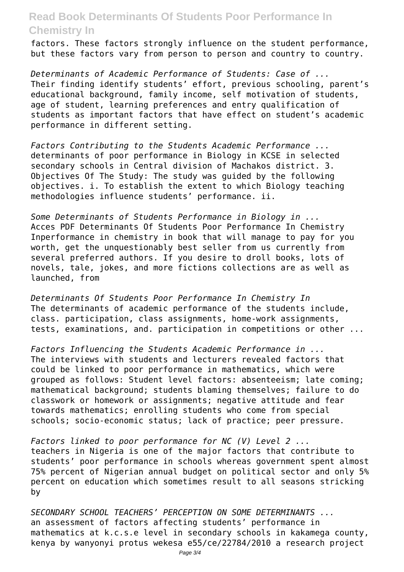factors. These factors strongly influence on the student performance, but these factors vary from person to person and country to country.

*Determinants of Academic Performance of Students: Case of ...* Their finding identify students' effort, previous schooling, parent's educational background, family income, self motivation of students, age of student, learning preferences and entry qualification of students as important factors that have effect on student's academic performance in different setting.

*Factors Contributing to the Students Academic Performance ...* determinants of poor performance in Biology in KCSE in selected secondary schools in Central division of Machakos district. 3. Objectives Of The Study: The study was guided by the following objectives. i. To establish the extent to which Biology teaching methodologies influence students' performance. ii.

*Some Determinants of Students Performance in Biology in ...* Acces PDF Determinants Of Students Poor Performance In Chemistry Inperformance in chemistry in book that will manage to pay for you worth, get the unquestionably best seller from us currently from several preferred authors. If you desire to droll books, lots of novels, tale, jokes, and more fictions collections are as well as launched, from

*Determinants Of Students Poor Performance In Chemistry In* The determinants of academic performance of the students include, class. participation, class assignments, home-work assignments, tests, examinations, and. participation in competitions or other ...

*Factors Influencing the Students Academic Performance in ...* The interviews with students and lecturers revealed factors that could be linked to poor performance in mathematics, which were grouped as follows: Student level factors: absenteeism; late coming; mathematical background; students blaming themselves; failure to do classwork or homework or assignments; negative attitude and fear towards mathematics; enrolling students who come from special schools; socio-economic status; lack of practice; peer pressure.

*Factors linked to poor performance for NC (V) Level 2 ...* teachers in Nigeria is one of the major factors that contribute to students' poor performance in schools whereas government spent almost 75% percent of Nigerian annual budget on political sector and only 5% percent on education which sometimes result to all seasons stricking by

*SECONDARY SCHOOL TEACHERS' PERCEPTION ON SOME DETERMINANTS ...* an assessment of factors affecting students' performance in mathematics at k.c.s.e level in secondary schools in kakamega county, kenya by wanyonyi protus wekesa e55/ce/22784/2010 a research project